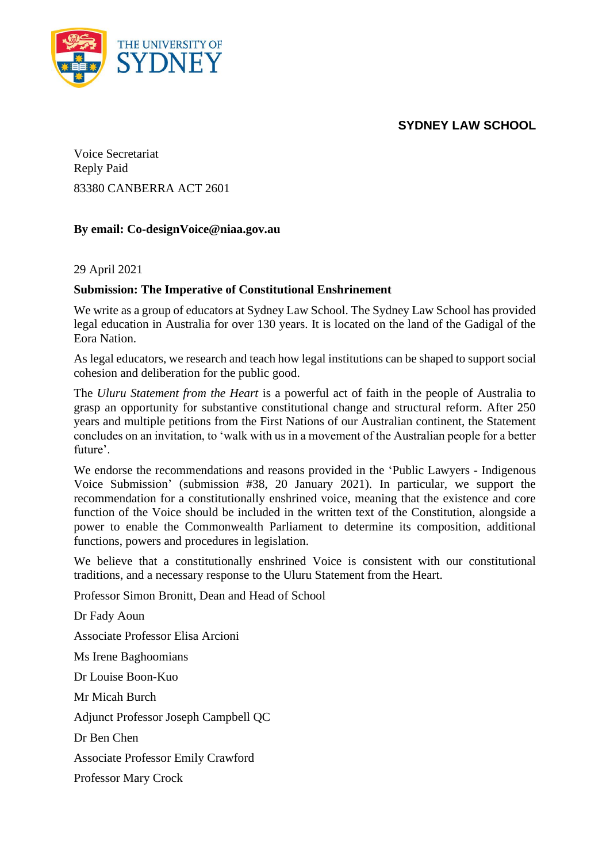## **SYDNEY LAW SCHOOL**



Voice Secretariat Reply Paid 83380 CANBERRA ACT 2601

## **By email: Co-designVoice@niaa.gov.au**

29 April 2021

## **Submission: The Imperative of Constitutional Enshrinement**

We write as a group of educators at Sydney Law School. The Sydney Law School has provided legal education in Australia for over 130 years. It is located on the land of the Gadigal of the Eora Nation.

As legal educators, we research and teach how legal institutions can be shaped to support social cohesion and deliberation for the public good.

The *Uluru Statement from the Heart* is a powerful act of faith in the people of Australia to grasp an opportunity for substantive constitutional change and structural reform. After 250 years and multiple petitions from the First Nations of our Australian continent, the Statement concludes on an invitation, to 'walk with us in a movement of the Australian people for a better future'.

We endorse the recommendations and reasons provided in the 'Public Lawyers - Indigenous Voice Submission' (submission #38, 20 January 2021). In particular, we support the recommendation for a constitutionally enshrined voice, meaning that the existence and core function of the Voice should be included in the written text of the Constitution, alongside a power to enable the Commonwealth Parliament to determine its composition, additional functions, powers and procedures in legislation.

We believe that a constitutionally enshrined Voice is consistent with our constitutional traditions, and a necessary response to the Uluru Statement from the Heart.

Professor Simon Bronitt, Dean and Head of School

Dr Fady Aoun Associate Professor Elisa Arcioni Ms Irene Baghoomians Dr Louise Boon-Kuo Mr Micah Burch Adjunct Professor Joseph Campbell QC Dr Ben Chen Associate Professor Emily Crawford Professor Mary Crock